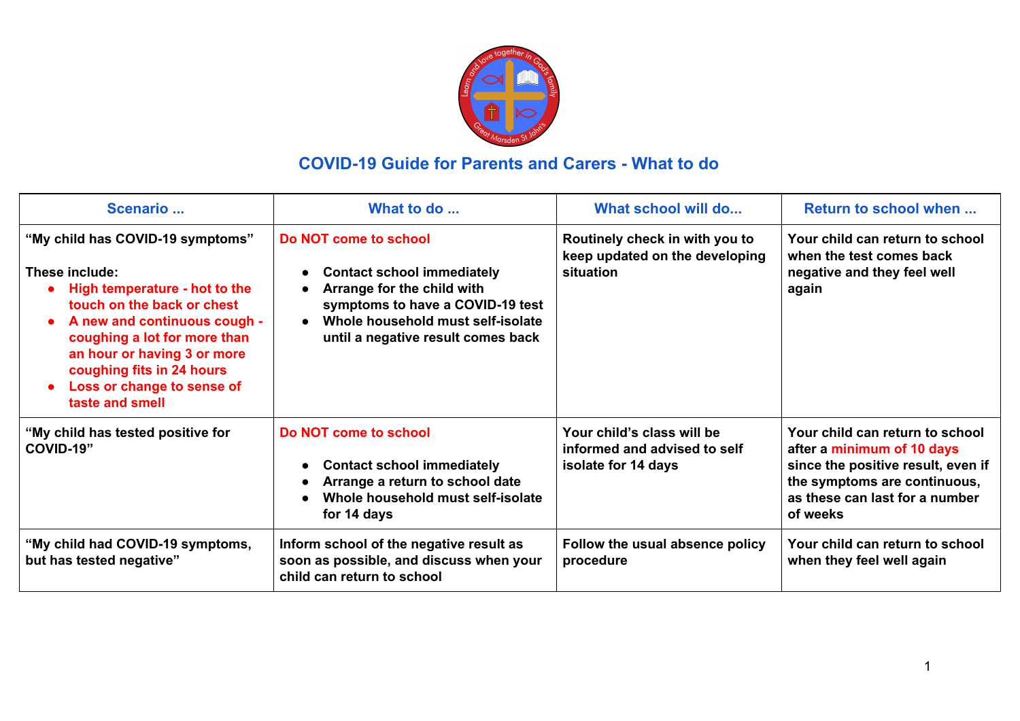

## **COVID-19 Guide for Parents and Carers - What to do**

| Scenario                                                                                                                                                                                                                                                                                       | What to do                                                                                                                                                                                              | What school will do                                                               | Return to school when                                                                                                                                                             |
|------------------------------------------------------------------------------------------------------------------------------------------------------------------------------------------------------------------------------------------------------------------------------------------------|---------------------------------------------------------------------------------------------------------------------------------------------------------------------------------------------------------|-----------------------------------------------------------------------------------|-----------------------------------------------------------------------------------------------------------------------------------------------------------------------------------|
| "My child has COVID-19 symptoms"<br>These include:<br>High temperature - hot to the<br>touch on the back or chest<br>A new and continuous cough -<br>coughing a lot for more than<br>an hour or having 3 or more<br>coughing fits in 24 hours<br>Loss or change to sense of<br>taste and smell | Do NOT come to school<br><b>Contact school immediately</b><br>Arrange for the child with<br>symptoms to have a COVID-19 test<br>Whole household must self-isolate<br>until a negative result comes back | Routinely check in with you to<br>keep updated on the developing<br>situation     | Your child can return to school<br>when the test comes back<br>negative and they feel well<br>again                                                                               |
| "My child has tested positive for<br>COVID-19"                                                                                                                                                                                                                                                 | Do NOT come to school<br><b>Contact school immediately</b><br>Arrange a return to school date<br>Whole household must self-isolate<br>for 14 days                                                       | Your child's class will be<br>informed and advised to self<br>isolate for 14 days | Your child can return to school<br>after a minimum of 10 days<br>since the positive result, even if<br>the symptoms are continuous,<br>as these can last for a number<br>of weeks |
| "My child had COVID-19 symptoms,<br>but has tested negative"                                                                                                                                                                                                                                   | Inform school of the negative result as<br>soon as possible, and discuss when your<br>child can return to school                                                                                        | Follow the usual absence policy<br>procedure                                      | Your child can return to school<br>when they feel well again                                                                                                                      |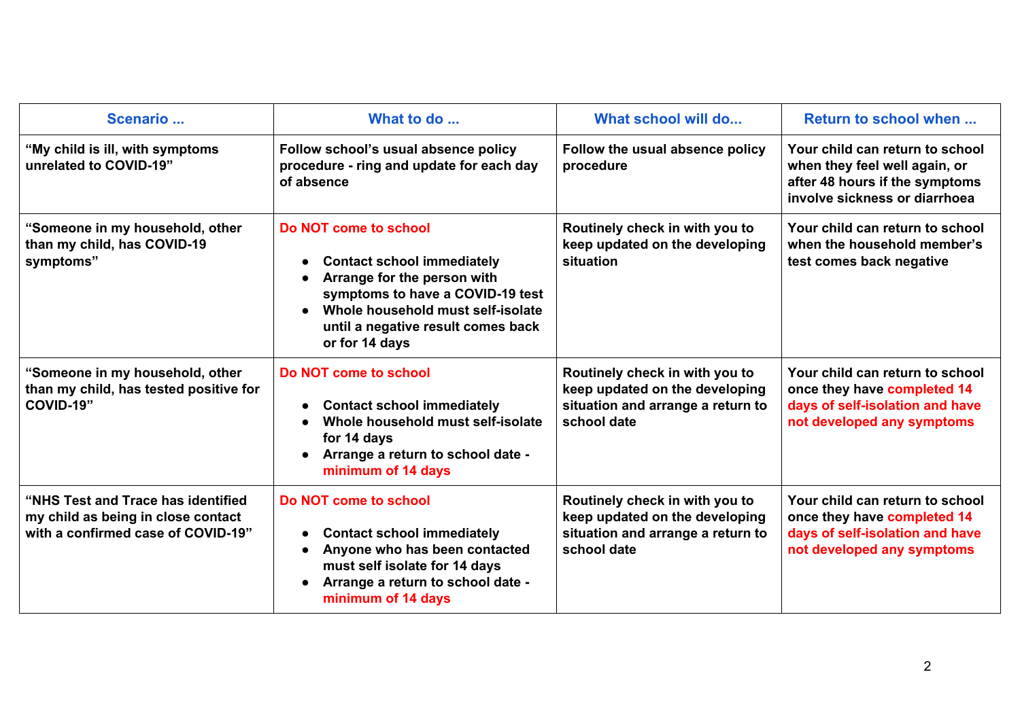| Scenario                                                                                                       | What to do                                                                                                                                                                                                                 | What school will do                                                                                                  | Return to school when                                                                                                               |
|----------------------------------------------------------------------------------------------------------------|----------------------------------------------------------------------------------------------------------------------------------------------------------------------------------------------------------------------------|----------------------------------------------------------------------------------------------------------------------|-------------------------------------------------------------------------------------------------------------------------------------|
| "My child is ill, with symptoms<br>unrelated to COVID-19"                                                      | Follow school's usual absence policy<br>procedure - ring and update for each day<br>of absence                                                                                                                             | Follow the usual absence policy<br>procedure                                                                         | Your child can return to school<br>when they feel well again, or<br>after 48 hours if the symptoms<br>involve sickness or diarrhoea |
| "Someone in my household, other<br>than my child, has COVID-19<br>symptoms"                                    | Do NOT come to school<br><b>Contact school immediately</b><br>Arrange for the person with<br>symptoms to have a COVID-19 test<br>Whole household must self-isolate<br>until a negative result comes back<br>or for 14 days | Routinely check in with you to<br>keep updated on the developing<br>situation                                        | Your child can return to school<br>when the household member's<br>test comes back negative                                          |
| "Someone in my household, other<br>than my child, has tested positive for<br>COVID-19"                         | Do NOT come to school<br><b>Contact school immediately</b><br>Whole household must self-isolate<br>for 14 days<br>Arrange a return to school date -<br>minimum of 14 days                                                  | Routinely check in with you to<br>keep updated on the developing<br>situation and arrange a return to<br>school date | Your child can return to school<br>once they have completed 14<br>days of self-isolation and have<br>not developed any symptoms     |
| "NHS Test and Trace has identified<br>my child as being in close contact<br>with a confirmed case of COVID-19" | Do NOT come to school<br><b>Contact school immediately</b><br>Anyone who has been contacted<br>must self isolate for 14 days<br>Arrange a return to school date -<br>minimum of 14 days                                    | Routinely check in with you to<br>keep updated on the developing<br>situation and arrange a return to<br>school date | Your child can return to school<br>once they have completed 14<br>days of self-isolation and have<br>not developed any symptoms     |